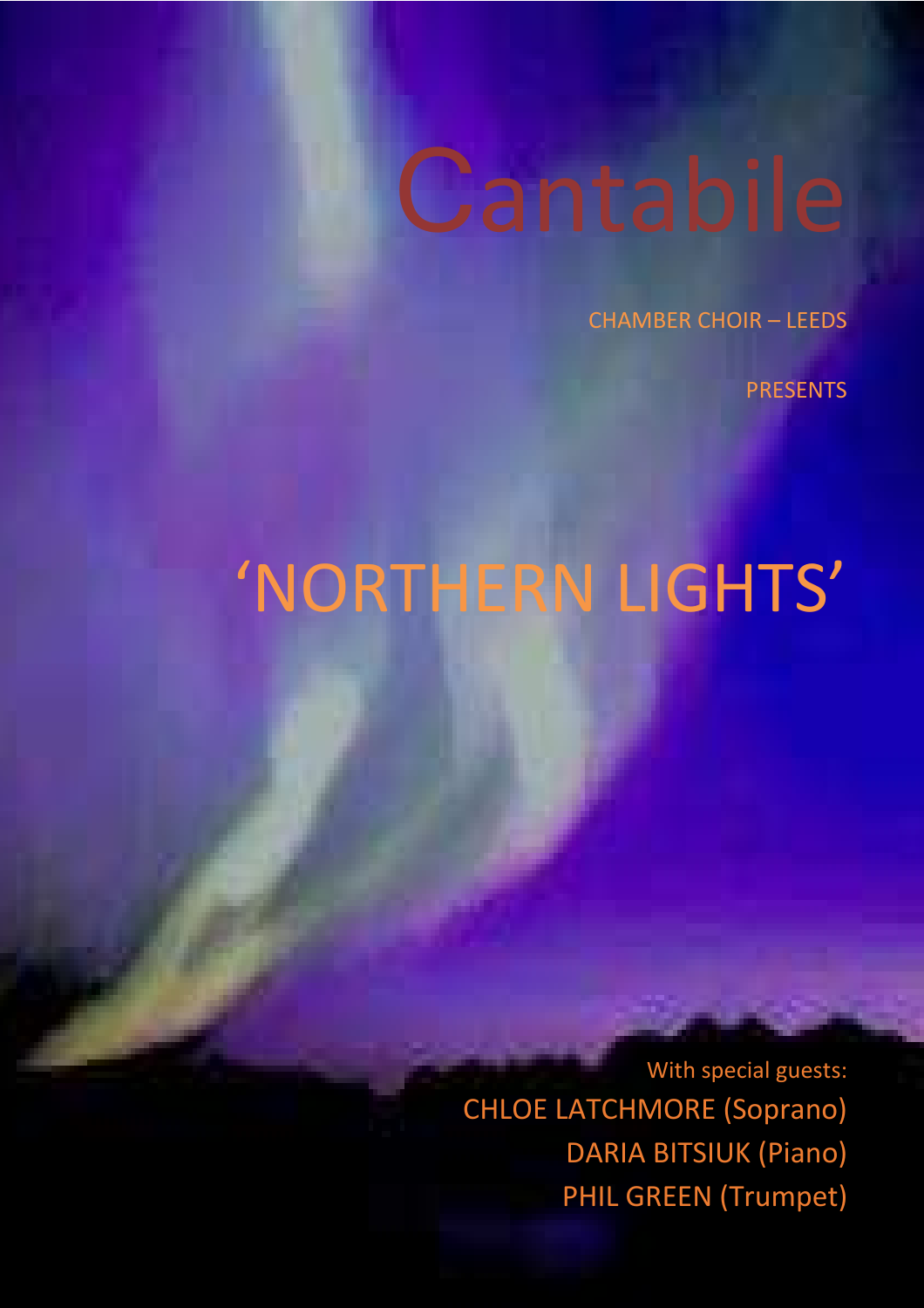# **Cantabile**

CHAMBER CHOIR – LEEDS

PRESENTS

### 'NORTHERN LIGHTS'

 With special guests: CHLOE LATCHMORE (Soprano) DARIA BITSIUK (Piano) PHIL GREEN (Trumpet)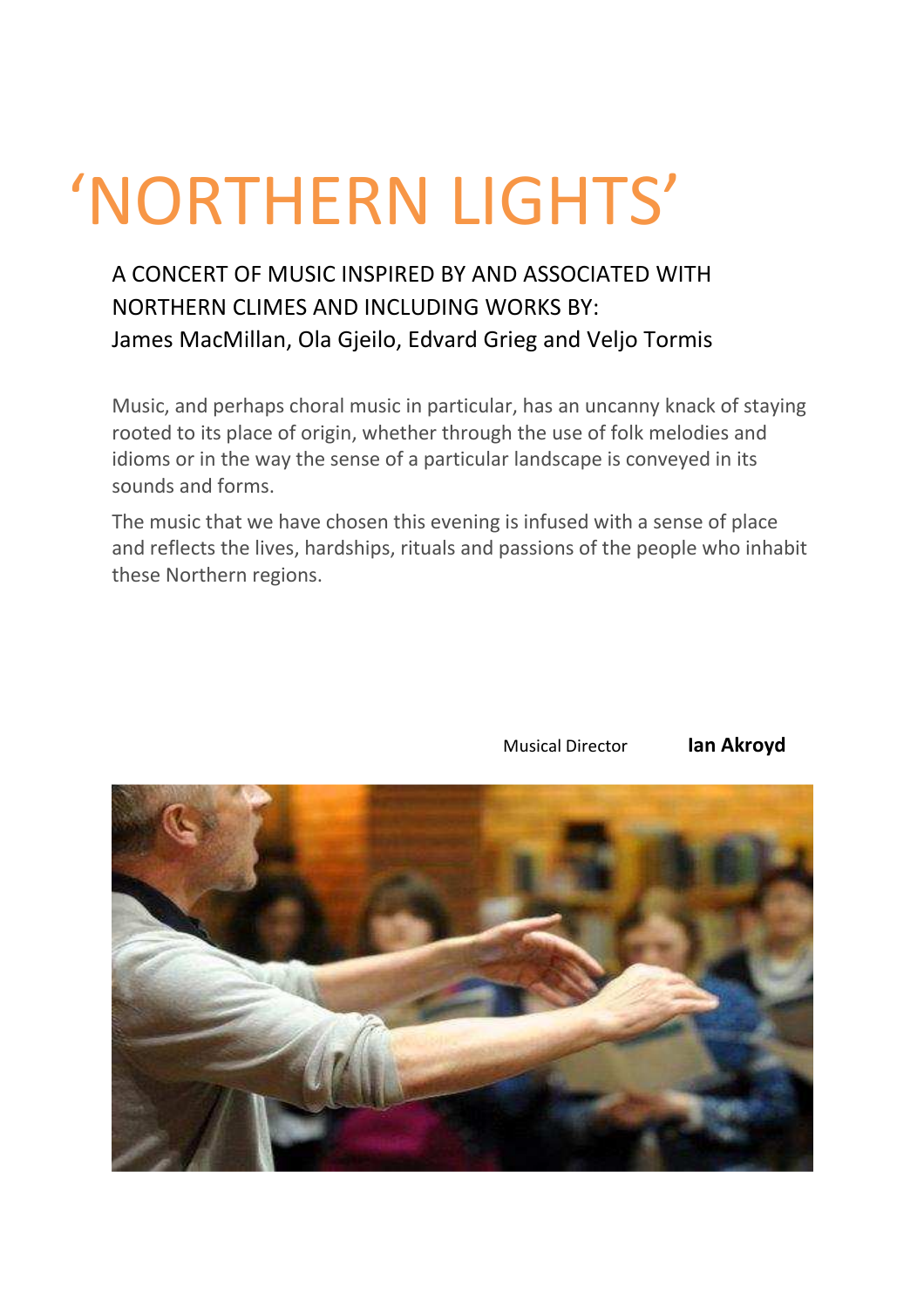## 'NORTHERN LIGHTS'

#### A CONCERT OF MUSIC INSPIRED BY AND ASSOCIATED WITH NORTHERN CLIMES AND INCLUDING WORKS BY: James MacMillan, Ola Gjeilo, Edvard Grieg and Veljo Tormis

Music, and perhaps choral music in particular, has an uncanny knack of staying rooted to its place of origin, whether through the use of folk melodies and idioms or in the way the sense of a particular landscape is conveyed in its sounds and forms.

The music that we have chosen this evening is infused with a sense of place and reflects the lives, hardships, rituals and passions of the people who inhabit these Northern regions.



Musical Director **Ian Akroyd**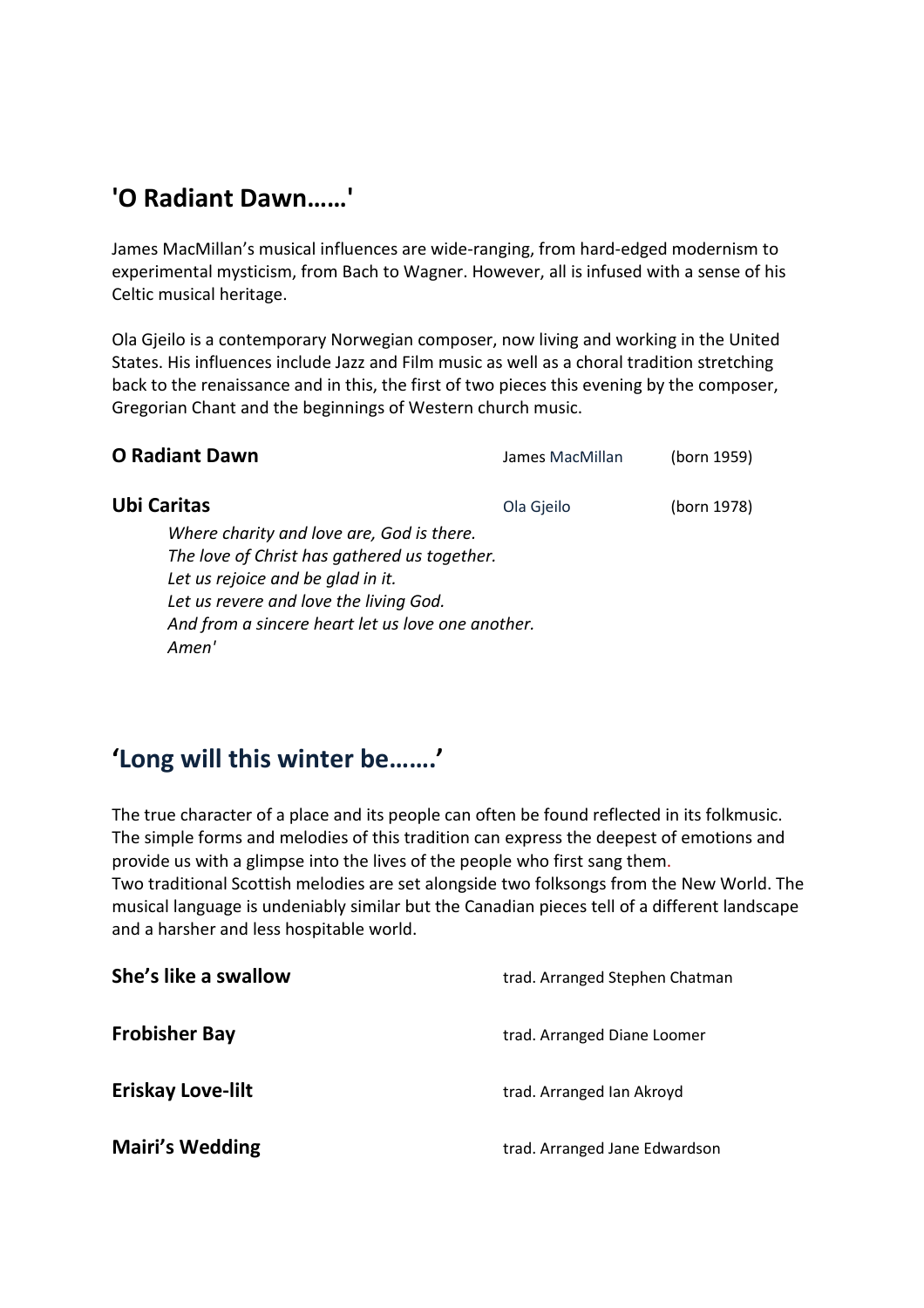#### **'O Radiant Dawn……'**

James MacMillan's musical influences are wide-ranging, from hard-edged modernism to experimental mysticism, from Bach to Wagner. However, all is infused with a sense of his Celtic musical heritage.

Ola Gjeilo is a contemporary Norwegian composer, now living and working in the United States. His influences include Jazz and Film music as well as a choral tradition stretching back to the renaissance and in this, the first of two pieces this evening by the composer, Gregorian Chant and the beginnings of Western church music.

| <b>O Radiant Dawn</b>                                                                                                                                                                                                                  | James MacMillan | (born 1959) |
|----------------------------------------------------------------------------------------------------------------------------------------------------------------------------------------------------------------------------------------|-----------------|-------------|
| <b>Ubi Caritas</b>                                                                                                                                                                                                                     | Ola Gjeilo      | (born 1978) |
| Where charity and love are, God is there.<br>The love of Christ has gathered us together.<br>Let us rejoice and be glad in it.<br>Let us revere and love the living God.<br>And from a sincere heart let us love one another.<br>Amen' |                 |             |

#### **'Long will this winter be…….'**

The true character of a place and its people can often be found reflected in its folkmusic. The simple forms and melodies of this tradition can express the deepest of emotions and provide us with a glimpse into the lives of the people who first sang them. Two traditional Scottish melodies are set alongside two folksongs from the New World. The musical language is undeniably similar but the Canadian pieces tell of a different landscape and a harsher and less hospitable world.

| She's like a swallow     | trad. Arranged Stephen Chatman |  |
|--------------------------|--------------------------------|--|
| <b>Frobisher Bay</b>     | trad. Arranged Diane Loomer    |  |
| <b>Eriskay Love-lilt</b> | trad. Arranged Ian Akroyd      |  |
| <b>Mairi's Wedding</b>   | trad. Arranged Jane Edwardson  |  |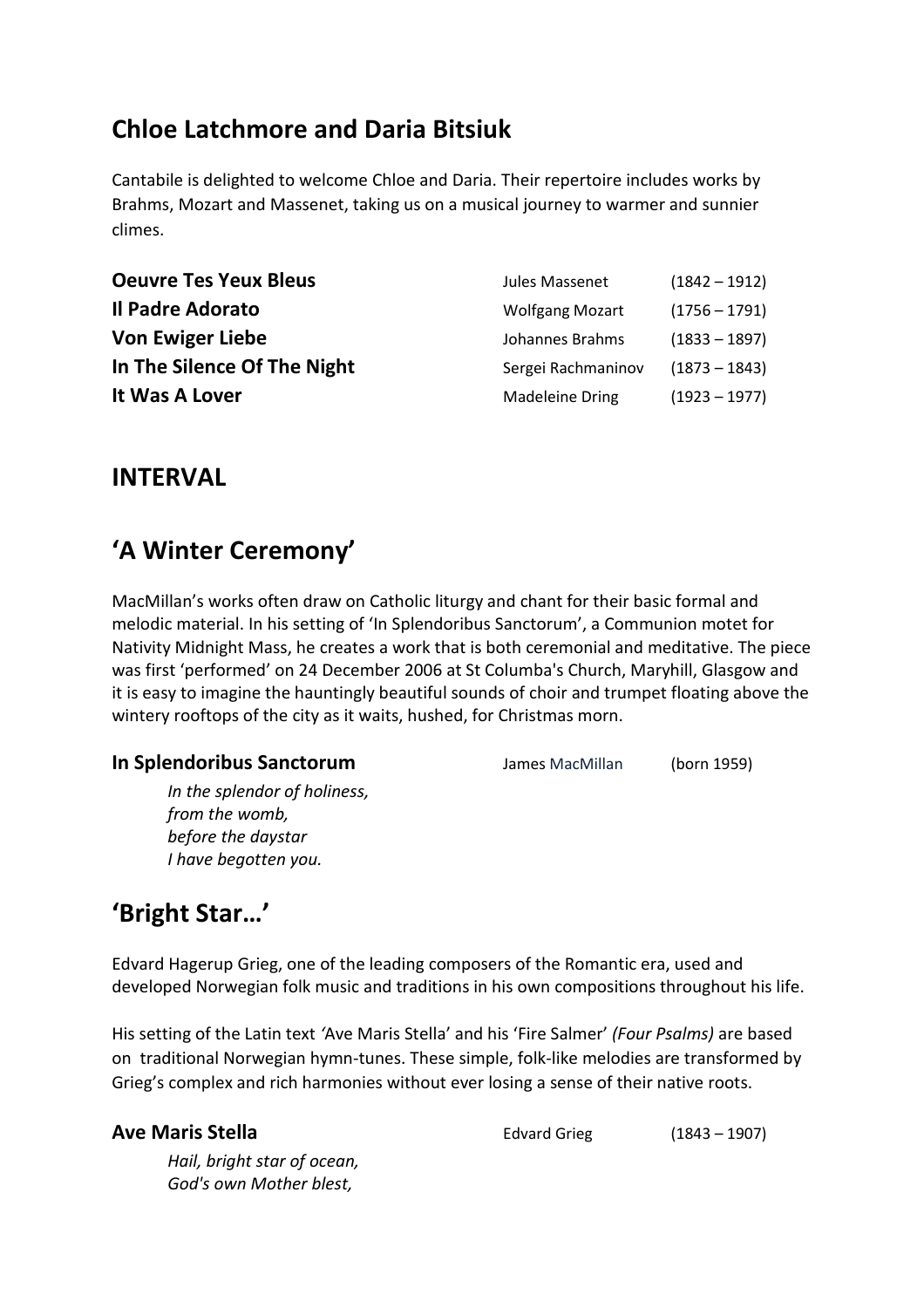#### **Chloe Latchmore and Daria Bitsiuk**

Cantabile is delighted to welcome Chloe and Daria. Their repertoire includes works by Brahms, Mozart and Massenet, taking us on a musical journey to warmer and sunnier climes.

| <b>Oeuvre Tes Yeux Bleus</b> | Jules Massenet         | $(1842 - 1912)$ |
|------------------------------|------------------------|-----------------|
| Il Padre Adorato             | <b>Wolfgang Mozart</b> | $(1756 - 1791)$ |
| <b>Von Ewiger Liebe</b>      | Johannes Brahms        | $(1833 - 1897)$ |
| In The Silence Of The Night  | Sergei Rachmaninov     | $(1873 - 1843)$ |
| It Was A Lover               | Madeleine Dring        | $(1923 - 1977)$ |

#### **INTERVAL**

#### **'A Winter Ceremony'**

MacMillan's works often draw on Catholic liturgy and chant for their basic formal and melodic material. In his setting of 'In Splendoribus Sanctorum', a Communion motet for Nativity Midnight Mass, he creates a work that is both ceremonial and meditative. The piece was first 'performed' on 24 December 2006 at St Columba's Church, Maryhill, Glasgow and it is easy to imagine the hauntingly beautiful sounds of choir and trumpet floating above the wintery rooftops of the city as it waits, hushed, for Christmas morn.

#### **In Splendoribus Sanctorum** James MacMillan (born 1959)

*In the splendor of holiness, from the womb, before the daystar I have begotten you.* 

#### **'Bright Star…'**

Edvard Hagerup Grieg, one of the leading composers of the Romantic era, used and developed Norwegian folk music and traditions in his own compositions throughout his life.

His setting of the Latin text *'*Ave Maris Stella' and his 'Fire Salmer' *(Four Psalms)* are based on traditional Norwegian hymn-tunes. These simple, folk-like melodies are transformed by Grieg's complex and rich harmonies without ever losing a sense of their native roots.

**Ave Maris Stella Edvard Grieg** (1843 – 1907)

*Hail, bright star of ocean, God's own Mother blest,*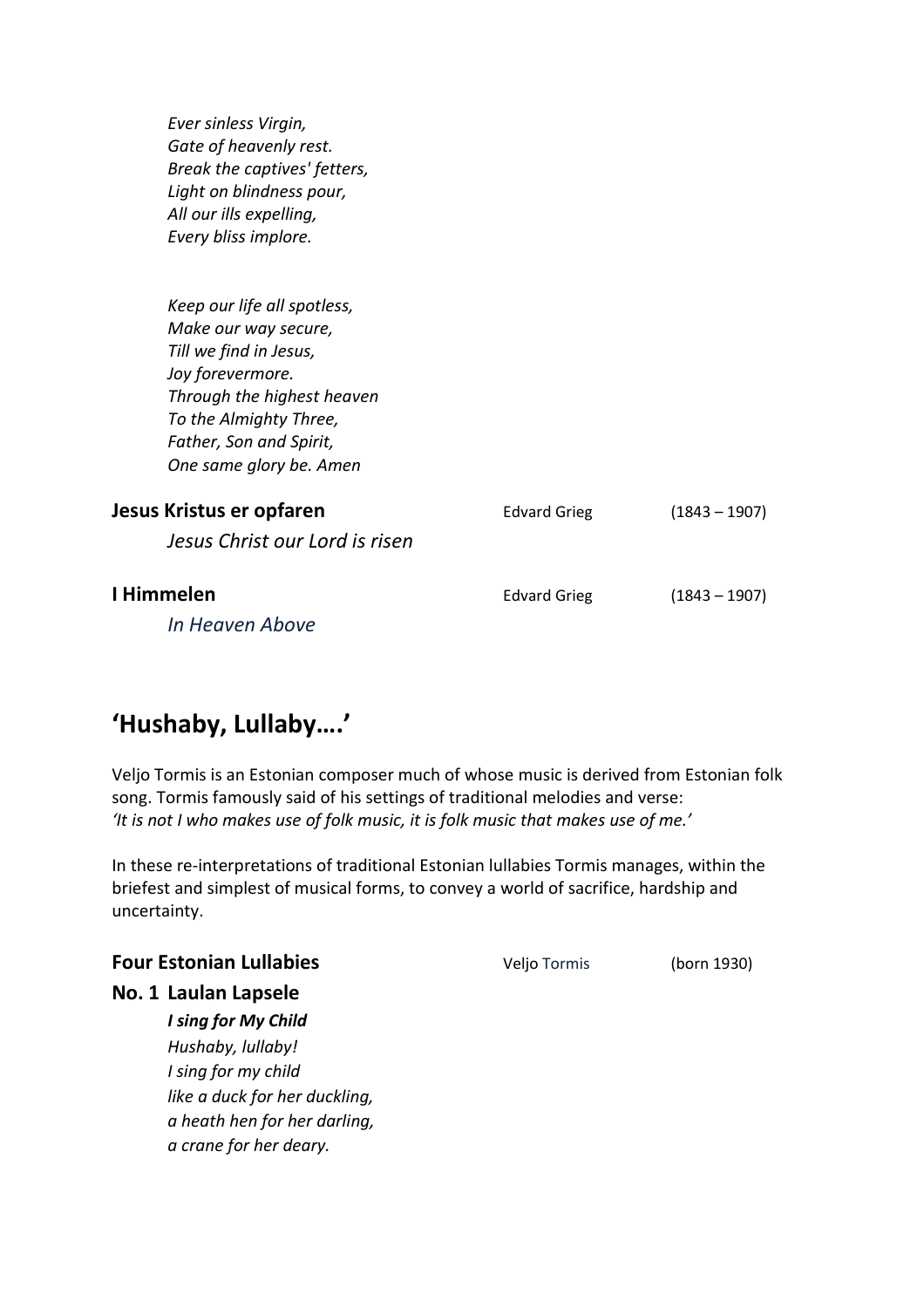*Ever sinless Virgin, Gate of heavenly rest. Break the captives' fetters, Light on blindness pour, All our ills expelling, Every bliss implore.* 

*Keep our life all spotless, Make our way secure, Till we find in Jesus, Joy forevermore. Through the highest heaven To the Almighty Three, Father, Son and Spirit, One same glory be. Amen* 

| Jesus Kristus er opfaren       | <b>Edvard Grieg</b> | $(1843 - 1907)$ |
|--------------------------------|---------------------|-----------------|
| Jesus Christ our Lord is risen |                     |                 |
| I Himmelen                     | <b>Edvard Grieg</b> | $(1843 - 1907)$ |
| In Heaven Above                |                     |                 |

### **'Hushaby, Lullaby….'**

Veljo Tormis is an Estonian composer much of whose music is derived from Estonian folk song. Tormis famously said of his settings of traditional melodies and verse: *'It is not I who makes use of folk music, it is folk music that makes use of me.'* 

In these re-interpretations of traditional Estonian lullabies Tormis manages, within the briefest and simplest of musical forms, to convey a world of sacrifice, hardship and uncertainty.

**Four Estonian Lullabies Veljo Tormis** (born 1930)

**No. 1 Laulan Lapsele**

*I sing for My Child Hushaby, lullaby! I sing for my child like a duck for her duckling, a heath hen for her darling, a crane for her deary.*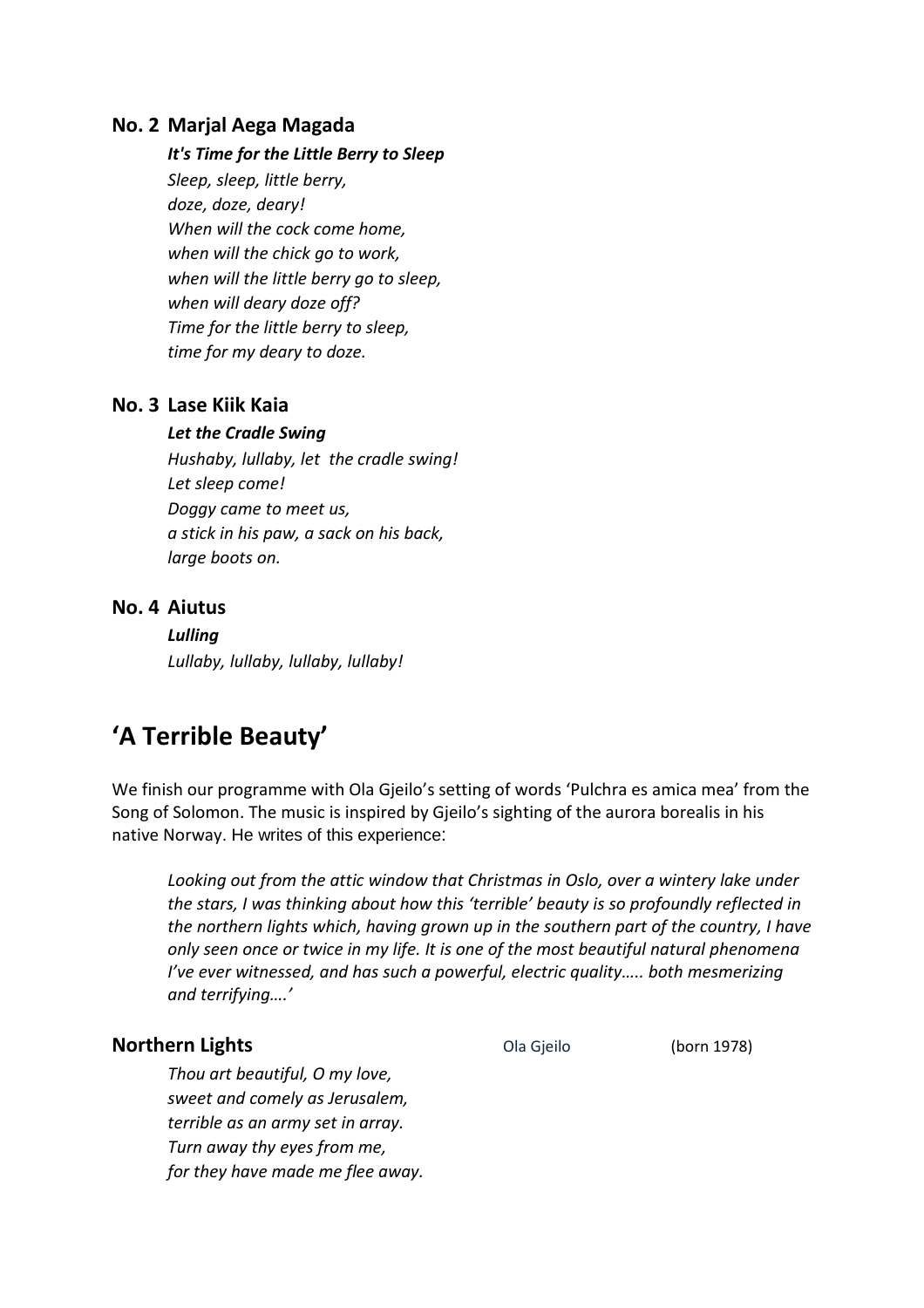#### **No. 2 Marjal Aega Magada**

#### *It's Time for the Little Berry to Sleep*

*Sleep, sleep, little berry, doze, doze, deary! When will the cock come home, when will the chick go to work, when will the little berry go to sleep, when will deary doze off? Time for the little berry to sleep, time for my deary to doze.* 

#### **No. 3 Lase Kiik Kaia**

#### *Let the Cradle Swing*

*Hushaby, lullaby, let the cradle swing! Let sleep come! Doggy came to meet us, a stick in his paw, a sack on his back, large boots on.* 

#### **No. 4 Aiutus**

*Lulling Lullaby, lullaby, lullaby, lullaby!* 

#### **'A Terrible Beauty'**

We finish our programme with Ola Gjeilo's setting of words 'Pulchra es amica mea' from the Song of Solomon. The music is inspired by Gjeilo's sighting of the aurora borealis in his native Norway. He writes of this experience:

*Looking out from the attic window that Christmas in Oslo, over a wintery lake under the stars, I was thinking about how this 'terrible' beauty is so profoundly reflected in the northern lights which, having grown up in the southern part of the country, I have only seen once or twice in my life. It is one of the most beautiful natural phenomena I've ever witnessed, and has such a powerful, electric quality….. both mesmerizing and terrifying....'* 

#### **Northern Lights Constanting Constanting Constanting Constanting Constanting Constanting (born 1978)**

*Thou art beautiful, O my love, sweet and comely as Jerusalem, terrible as an army set in array. Turn away thy eyes from me, for they have made me flee away.*